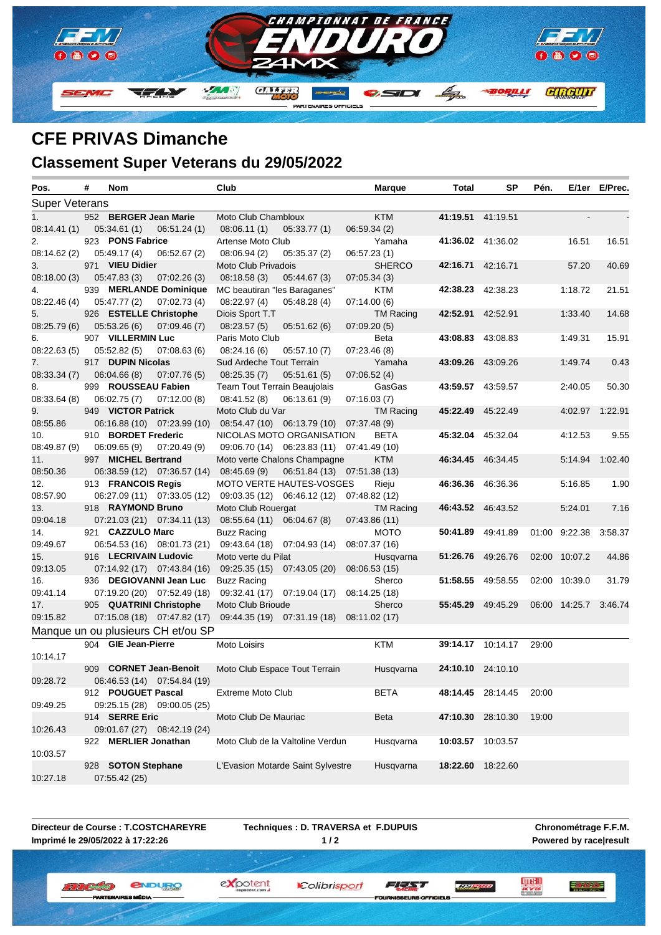

## **CFE PRIVAS Dimanche**

## **Classement Super Veterans du 29/05/2022**

| Pos.                  | # | Nom                     |                                    | Club                         |                                           | <b>Marque</b>               | Total | SP                | Pén.  |               | E/1er E/Prec. |
|-----------------------|---|-------------------------|------------------------------------|------------------------------|-------------------------------------------|-----------------------------|-------|-------------------|-------|---------------|---------------|
| <b>Super Veterans</b> |   |                         |                                    |                              |                                           |                             |       |                   |       |               |               |
| 1 <sub>1</sub>        |   | 952 BERGER Jean Marie   |                                    | Moto Club Chambloux          |                                           | <b>KTM</b>                  |       | 41:19.51 41:19.51 |       |               |               |
| 08:14.41 (1)          |   | 05:34.61(1)             | 06:51.24(1)                        | 08:06.11(1)                  | 05:33.77(1)                               | 06:59.34(2)                 |       |                   |       |               |               |
| 2.                    |   | 923 PONS Fabrice        |                                    | Artense Moto Club            |                                           | Yamaha                      |       | 41:36.02 41:36.02 |       | 16.51         | 16.51         |
| 08:14.62 (2)          |   | 05:49.17(4)             | 06:52.67(2)                        | 08:06.94(2)                  | 05:35.37(2)                               | 06:57.23(1)                 |       |                   |       |               |               |
| 3.                    |   | 971 VIEU Didier         |                                    | Moto Club Privadois          |                                           | <b>SHERCO</b>               |       | 42:16.71 42:16.71 |       | 57.20         | 40.69         |
| 08:18.00 (3)          |   | 05:47.83(3)             | 07:02.26(3)                        | 08:18.58(3)                  | 05:44.67(3)                               | 07:05.34(3)                 |       |                   |       |               |               |
| 4.                    |   |                         | 939 MERLANDE Dominique             | MC beautiran "les Baraganes" |                                           | KTM                         |       | 42:38.23 42:38.23 |       | 1:18.72       | 21.51         |
| 08:22.46 (4)          |   | 05:47.77(2)             | 07:02.73(4)                        | 08:22.97(4)                  | 05:48.28 (4)                              | 07:14.00(6)                 |       |                   |       |               |               |
| 5.                    |   | 926 ESTELLE Christophe  |                                    | Diois Sport T.T              |                                           | <b>TM Racing</b>            |       | 42:52.91 42:52.91 |       | 1:33.40       | 14.68         |
| 08:25.79 (6)          |   | 05:53.26(6)             | 07:09.46(7)                        | 08:23.57(5)                  | 05:51.62(6)                               | 07:09.20(5)                 |       |                   |       |               |               |
| 6.                    |   | 907 VILLERMIN Luc       |                                    | Paris Moto Club              |                                           | Beta                        |       | 43:08.83 43:08.83 |       | 1:49.31       | 15.91         |
| 08:22.63(5)           |   | 05:52.82(5)             | 07:08.63(6)                        | 08:24.16(6)                  | 05:57.10(7)                               | 07:23.46(8)                 |       |                   |       |               |               |
| 7.                    |   | 917 DUPIN Nicolas       |                                    | Sud Ardeche Tout Terrain     |                                           | Yamaha                      |       | 43:09.26 43:09.26 |       | 1:49.74       | 0.43          |
| 08:33.34 (7)          |   | 06:04.66 (8)            | 07:07.76(5)                        | 08:25.35(7)                  | 05:51.61(5)                               | 07:06.52(4)                 |       |                   |       |               |               |
| 8.                    |   | 999 ROUSSEAU Fabien     |                                    |                              | Team Tout Terrain Beaujolais              | GasGas                      |       | 43:59.57 43:59.57 |       | 2:40.05       | 50.30         |
| 08:33.64(8)           |   | 06:02.75(7)             | 07:12.00(8)                        | 08:41.52(8)                  | 06:13.61(9)                               | 07:16.03(7)                 |       |                   |       |               |               |
| 9.                    |   | 949 VICTOR Patrick      |                                    | Moto Club du Var             |                                           | <b>TM Racing</b>            |       | 45:22.49 45:22.49 |       | 4:02.97       | 1:22.91       |
| 08:55.86              |   |                         | 06:16.88 (10) 07:23.99 (10)        |                              | 08:54.47 (10) 06:13.79 (10) 07:37.48 (9)  |                             |       |                   |       |               |               |
| 10.                   |   | 910 BORDET Frederic     |                                    |                              | NICOLAS MOTO ORGANISATION                 | <b>BETA</b>                 |       | 45:32.04 45:32.04 |       | 4:12.53       | 9.55          |
| 08:49.87 (9)          |   | 06:09.65(9)             | 07:20.49(9)                        |                              | 09:06.70 (14) 06:23.83 (11) 07:41.49 (10) |                             |       |                   |       |               |               |
| 11.                   |   | 997 MICHEL Bertrand     |                                    |                              | Moto verte Chalons Champagne              | <b>KTM</b>                  |       | 46:34.45 46:34.45 |       | 5:14.94       | 1:02.40       |
| 08:50.36              |   |                         | 06:38.59 (12) 07:36.57 (14)        | 08:45.69(9)                  |                                           | 06:51.84 (13) 07:51.38 (13) |       |                   |       |               |               |
| 12.                   |   | 913 FRANCOIS Regis      |                                    |                              | MOTO VERTE HAUTES-VOSGES                  | Rieju                       |       | 46:36.36 46:36.36 |       | 5:16.85       | 1.90          |
| 08:57.90              |   |                         | 06:27.09 (11) 07:33.05 (12)        |                              | 09:03.35 (12) 06:46.12 (12) 07:48.82 (12) |                             |       |                   |       |               |               |
| 13.                   |   | 918 RAYMOND Bruno       |                                    | Moto Club Rouergat           |                                           | <b>TM Racing</b>            |       | 46:43.52 46:43.52 |       | 5:24.01       | 7.16          |
| 09:04.18              |   |                         | 07:21.03 (21) 07:34.11 (13)        | 08:55.64 (11) 06:04.67 (8)   |                                           | 07:43.86 (11)               |       |                   |       |               |               |
| 14.                   |   | 921 CAZZULO Marc        |                                    | <b>Buzz Racing</b>           |                                           | <b>MOTO</b>                 |       | 50:41.89 49:41.89 |       | 01:00 9:22.38 | 3:58.37       |
| 09:49.67              |   |                         | 06:54.53 (16) 08:01.73 (21)        |                              | 09:43.64 (18) 07:04.93 (14)               | 08:07.37 (16)               |       |                   |       |               |               |
| 15.                   |   | 916 LECRIVAIN Ludovic   |                                    | Moto verte du Pilat          |                                           | Husqvarna                   |       | 51:26.76 49:26.76 |       | 02:00 10:07.2 | 44.86         |
| 09:13.05              |   |                         | 07:14.92 (17) 07:43.84 (16)        |                              | 09:25.35 (15) 07:43.05 (20)               | 08:06.53 (15)               |       |                   |       |               |               |
| 16.                   |   |                         | 936 DEGIOVANNI Jean Luc            | <b>Buzz Racing</b>           |                                           | Sherco                      |       | 51:58.55 49:58.55 |       | 02:00 10:39.0 | 31.79         |
| 09:41.14              |   |                         | $07:19.20(20)$ $07:52.49(18)$      |                              | 09:32.41 (17) 07:19.04 (17)               | 08:14.25 (18)               |       |                   |       |               |               |
| 17.                   |   | 905 QUATRINI Christophe |                                    | Moto Club Brioude            |                                           | Sherco                      |       | 55:45.29 49:45.29 |       | 06:00 14:25.7 | 3:46.74       |
| 09:15.82              |   |                         | 07:15.08 (18) 07:47.82 (17)        |                              | 09:44.35 (19) 07:31.19 (18) 08:11.02 (17) |                             |       |                   |       |               |               |
|                       |   |                         | Manque un ou plusieurs CH et/ou SP |                              |                                           |                             |       |                   |       |               |               |
|                       |   | 904 GIE Jean-Pierre     |                                    | Moto Loisirs                 |                                           | <b>KTM</b>                  |       | 39:14.17 10:14.17 | 29:00 |               |               |
| 10:14.17              |   |                         |                                    |                              |                                           |                             |       |                   |       |               |               |
|                       |   | 909 CORNET Jean-Benoit  |                                    |                              | Moto Club Espace Tout Terrain             | Husqvarna                   |       | 24:10.10 24:10.10 |       |               |               |
| 09:28.72              |   |                         | 06:46.53 (14) 07:54.84 (19)        |                              |                                           |                             |       |                   |       |               |               |
|                       |   | 912 POUGUET Pascal      |                                    | <b>Extreme Moto Club</b>     |                                           | <b>BETA</b>                 |       | 48:14.45 28:14.45 | 20:00 |               |               |
| 09:49.25              |   |                         | 09:25.15 (28) 09:00.05 (25)        |                              |                                           |                             |       |                   |       |               |               |
|                       |   | 914 SERRE Eric          |                                    | Moto Club De Mauriac         |                                           | Beta                        |       | 47:10.30 28:10.30 | 19:00 |               |               |
| 10:26.43              |   |                         | 09:01.67 (27) 08:42.19 (24)        |                              |                                           |                             |       |                   |       |               |               |
|                       |   | 922 MERLIER Jonathan    |                                    |                              | Moto Club de la Valtoline Verdun          | Husqvarna                   |       | 10:03.57 10:03.57 |       |               |               |
| 10:03.57              |   |                         |                                    |                              |                                           |                             |       |                   |       |               |               |
|                       |   | 928 SOTON Stephane      |                                    |                              | L'Evasion Motarde Saint Sylvestre         | Husqvarna                   |       | 18:22.60 18:22.60 |       |               |               |
| 10:27.18              |   | 07:55.42(25)            |                                    |                              |                                           |                             |       |                   |       |               |               |

**Directeur de Course : T.COSTCHAREYRE Imprimé le 29/05/2022 à 17:22:26**

**PARTEM** 

**Techniques : D. TRAVERSA et F.DUPUIS 1 / 2**

Colibrisport

**Chronométrage F.F.M. Powered by race|result**

三方的过去

*<u>ENDURO</u>* **II II (Breaster)** 

ES MÉDIA

expotent

FEED

SEURS OFFICIELS

**LE PRO**